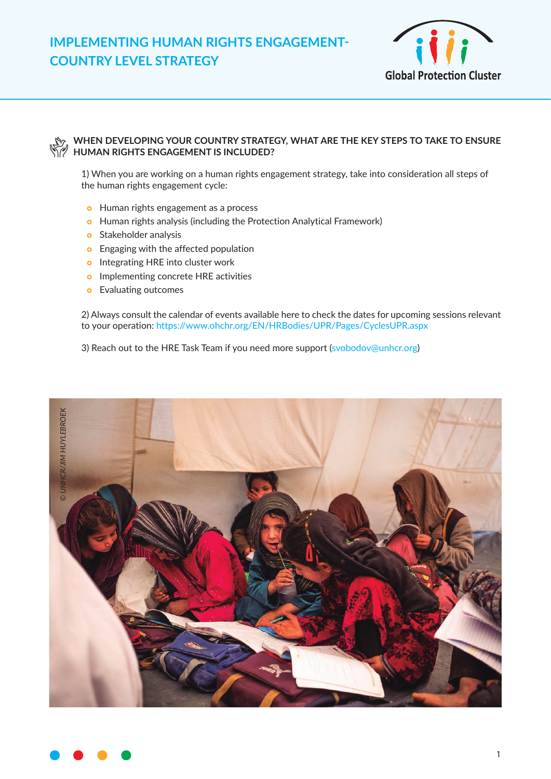

## **WHEN DEVELOPING YOUR COUNTRY STRATEGY, WHAT ARE THE KEY STEPS TO TAKE TO ENSURE HUMAN RIGHTS ENGAGEMENT IS INCLUDED?**

1) When you are working on a human rights engagement strategy, take into consideration all steps of the human rights engagement cycle:

- **•** Human rights engagement as a process
- **•** Human rights analysis (including the Protection Analytical Framework)
- **o** Stakeholder analysis
- **•** Engaging with the affected population
- **o** Integrating HRE into cluster work
- **o** Implementing concrete HRE activities
- **•** Evaluating outcomes

2) Always consult the calendar of events available here to check the dates for upcoming sessions relevant to your operation: https://www.ohchr.org/EN/HRBodies/UPR/Pages/CyclesUPR.aspx

3) Reach out to the HRE Task Team if you need more support (svobodov@unhcr.org)